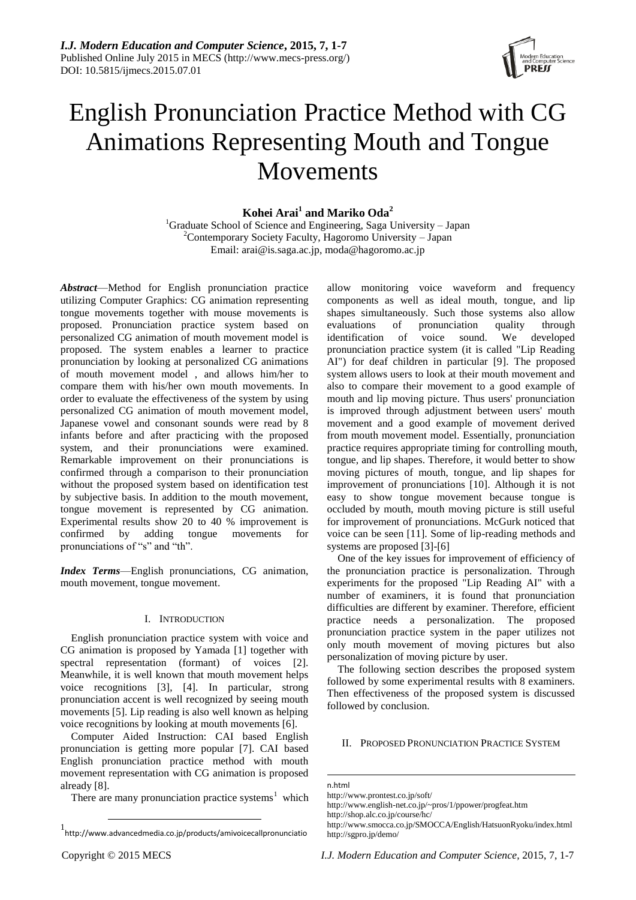

# English Pronunciation Practice Method with CG Animations Representing Mouth and Tongue Movements

# **Kohei Arai<sup>1</sup> and Mariko Oda<sup>2</sup>**

<sup>1</sup>Graduate School of Science and Engineering, Saga University – Japan  $2^2$ Contemporary Society Faculty, Hagoromo University – Japan Email: arai@is.saga.ac.jp, [moda@hagoromo.ac.jp](mailto:moda@hagoromo.ac.jp)

*Abstract*—Method for English pronunciation practice utilizing Computer Graphics: CG animation representing tongue movements together with mouse movements is proposed. Pronunciation practice system based on personalized CG animation of mouth movement model is proposed. The system enables a learner to practice pronunciation by looking at personalized CG animations of mouth movement model , and allows him/her to compare them with his/her own mouth movements. In order to evaluate the effectiveness of the system by using personalized CG animation of mouth movement model, Japanese vowel and consonant sounds were read by 8 infants before and after practicing with the proposed system, and their pronunciations were examined. Remarkable improvement on their pronunciations is confirmed through a comparison to their pronunciation without the proposed system based on identification test by subjective basis. In addition to the mouth movement, tongue movement is represented by CG animation. Experimental results show 20 to 40 % improvement is confirmed by adding tongue movements for confirmed by adding tongue movements for pronunciations of "s" and "th".

*Index Terms*—English pronunciations, CG animation, mouth movement, tongue movement.

## I. INTRODUCTION

English pronunciation practice system with voice and CG animation is proposed by Yamada [1] together with spectral representation (formant) of voices [2]. Meanwhile, it is well known that mouth movement helps voice recognitions [3], [4]. In particular, strong pronunciation accent is well recognized by seeing mouth movements [5]. Lip reading is also well known as helping voice recognitions by looking at mouth movements [6].

Computer Aided Instruction: CAI based English pronunciation is getting more popular [7]. CAI based English pronunciation practice method with mouth movement representation with CG animation is proposed already [8].

There are many pronunciation practice systems<sup>1</sup> which

allow monitoring voice waveform and frequency components as well as ideal mouth, tongue, and lip shapes simultaneously. Such those systems also allow<br>evaluations of pronunciation quality through evaluations of pronunciation quality through<br>identification of voice sound. We developed identification of voice sound. We developed pronunciation practice system (it is called "Lip Reading AI") for deaf children in particular [9]. The proposed system allows users to look at their mouth movement and also to compare their movement to a good example of mouth and lip moving picture. Thus users' pronunciation is improved through adjustment between users' mouth movement and a good example of movement derived from mouth movement model. Essentially, pronunciation practice requires appropriate timing for controlling mouth, tongue, and lip shapes. Therefore, it would better to show moving pictures of mouth, tongue, and lip shapes for improvement of pronunciations [10]. Although it is not easy to show tongue movement because tongue is occluded by mouth, mouth moving picture is still useful for improvement of pronunciations. McGurk noticed that voice can be seen [11]. Some of lip-reading methods and systems are proposed [3]-[6]

One of the key issues for improvement of efficiency of the pronunciation practice is personalization. Through experiments for the proposed "Lip Reading AI" with a number of examiners, it is found that pronunciation difficulties are different by examiner. Therefore, efficient practice needs a personalization. The proposed pronunciation practice system in the paper utilizes not only mouth movement of moving pictures but also personalization of moving picture by user.

The following section describes the proposed system followed by some experimental results with 8 examiners. Then effectiveness of the proposed system is discussed followed by conclusion.

# II. PROPOSED PRONUNCIATION PRACTICE SYSTEM

n.html

1

http://www.prontest.co.jp/soft/ http://www.english-net.co.jp/~pros/1/ppower/progfeat.htm http://shop.alc.co.jp/course/hc/

1

<sup>1</sup> http://www.advancedmedia.co.jp/products/amivoicecallpronunciatio

http://www.smocca.co.jp/SMOCCA/English/HatsuonRyoku/index.html http://sgpro.jp/demo/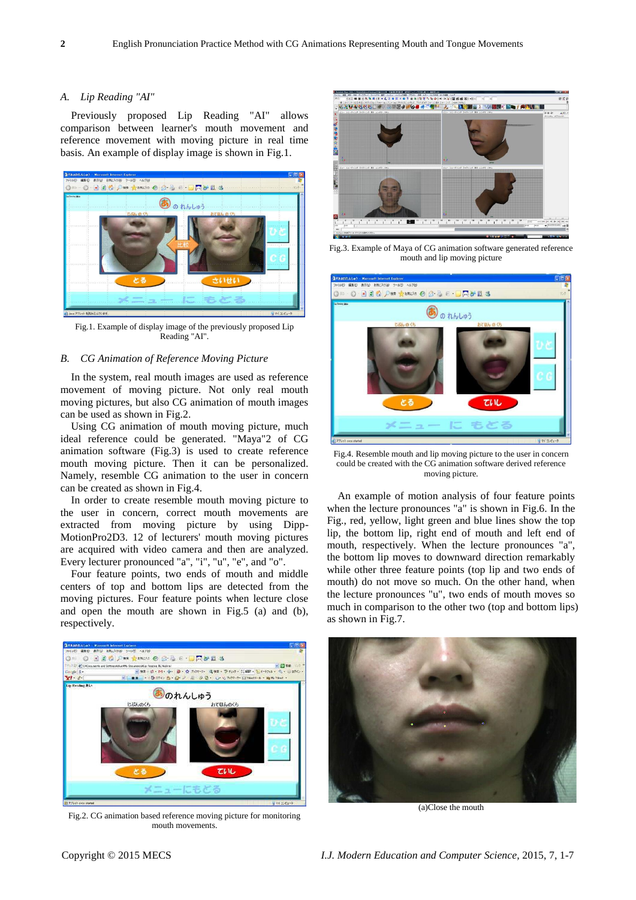## *A. Lip Reading "AI"*

Previously proposed Lip Reading "AI" allows comparison between learner's mouth movement and reference movement with moving picture in real time basis. An example of display image is shown in Fig.1.



Fig.1. Example of display image of the previously proposed Lip Reading "AI".

#### *B. CG Animation of Reference Moving Picture*

In the system, real mouth images are used as reference movement of moving picture. Not only real mouth moving pictures, but also CG animation of mouth images can be used as shown in Fig.2.

Using CG animation of mouth moving picture, much ideal reference could be generated. "Maya"2 of CG animation software (Fig.3) is used to create reference mouth moving picture. Then it can be personalized. Namely, resemble CG animation to the user in concern can be created as shown in Fig.4.

In order to create resemble mouth moving picture to the user in concern, correct mouth movements are extracted from moving picture by using Dipp-MotionPro2D3. 12 of lecturers' mouth moving pictures are acquired with video camera and then are analyzed. Every lecturer pronounced "a", "i", "u", "e", and "o".

Four feature points, two ends of mouth and middle centers of top and bottom lips are detected from the moving pictures. Four feature points when lecture close and open the mouth are shown in Fig.5 (a) and (b), respectively.



Fig.2. CG animation based reference moving picture for monitoring mouth movements.



Fig.3. Example of Maya of CG animation software generated reference mouth and lip moving picture



Fig.4. Resemble mouth and lip moving picture to the user in concern could be created with the CG animation software derived reference moving picture.

An example of motion analysis of four feature points when the lecture pronounces "a" is shown in Fig.6. In the Fig., red, yellow, light green and blue lines show the top lip, the bottom lip, right end of mouth and left end of mouth, respectively. When the lecture pronounces "a", the bottom lip moves to downward direction remarkably while other three feature points (top lip and two ends of mouth) do not move so much. On the other hand, when the lecture pronounces "u", two ends of mouth moves so much in comparison to the other two (top and bottom lips) as shown in Fig.7.



(a)Close the mouth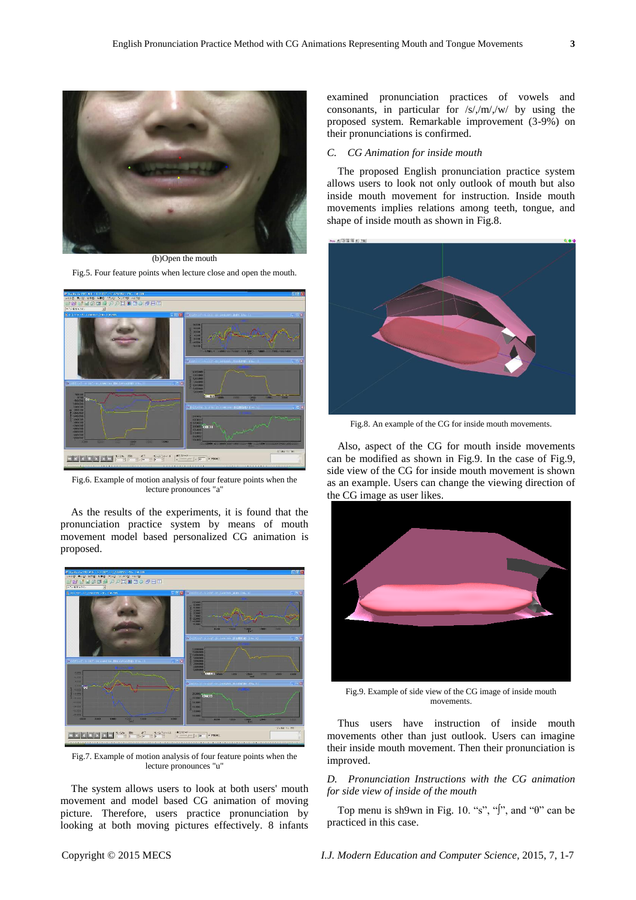

(b)Open the mouth Fig.5. Four feature points when lecture close and open the mouth.



Fig.6. Example of motion analysis of four feature points when the lecture pronounces "a"

As the results of the experiments, it is found that the pronunciation practice system by means of mouth movement model based personalized CG animation is proposed.



Fig.7. Example of motion analysis of four feature points when the lecture pronounces "u"

The system allows users to look at both users' mouth movement and model based CG animation of moving picture. Therefore, users practice pronunciation by looking at both moving pictures effectively. 8 infants examined pronunciation practices of vowels and consonants, in particular for /s/,/m/,/w/ by using the proposed system. Remarkable improvement (3-9%) on their pronunciations is confirmed.

## *C. CG Animation for inside mouth*

The proposed English pronunciation practice system allows users to look not only outlook of mouth but also inside mouth movement for instruction. Inside mouth movements implies relations among teeth, tongue, and shape of inside mouth as shown in Fig.8.



Fig.8. An example of the CG for inside mouth movements.

Also, aspect of the CG for mouth inside movements can be modified as shown in Fig.9. In the case of Fig.9, side view of the CG for inside mouth movement is shown as an example. Users can change the viewing direction of the CG image as user likes.



Fig.9. Example of side view of the CG image of inside mouth movements.

Thus users have instruction of inside mouth movements other than just outlook. Users can imagine their inside mouth movement. Then their pronunciation is improved.

## *D. Pronunciation Instructions with the CG animation for side view of inside of the mouth*

Top menu is sh9wn in Fig. 10. "s", "j", and " $\theta$ " can be practiced in this case.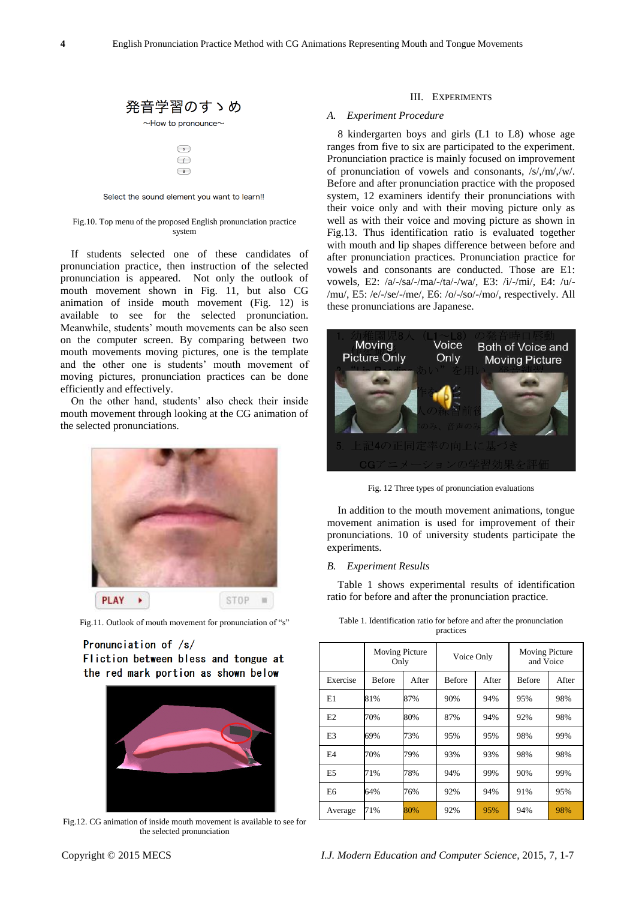



Select the sound element you want to learn!!

## Fig.10. Top menu of the proposed English pronunciation practice system

If students selected one of these candidates of pronunciation practice, then instruction of the selected pronunciation is appeared. Not only the outlook of mouth movement shown in Fig. 11, but also CG animation of inside mouth movement (Fig. 12) is available to see for the selected pronunciation. Meanwhile, students' mouth movements can be also seen on the computer screen. By comparing between two mouth movements moving pictures, one is the template and the other one is students' mouth movement of moving pictures, pronunciation practices can be done efficiently and effectively.

On the other hand, students' also check their inside mouth movement through looking at the CG animation of the selected pronunciations.



Fig.11. Outlook of mouth movement for pronunciation of "s"

# Pronunciation of /s/ Fliction between bless and tongue at the red mark portion as shown below



Fig.12. CG animation of inside mouth movement is available to see for the selected pronunciation

## III. EXPERIMENTS

## *A. Experiment Procedure*

8 kindergarten boys and girls (L1 to L8) whose age ranges from five to six are participated to the experiment. Pronunciation practice is mainly focused on improvement of pronunciation of vowels and consonants, /s/,/m/,/w/. Before and after pronunciation practice with the proposed system, 12 examiners identify their pronunciations with their voice only and with their moving picture only as well as with their voice and moving picture as shown in Fig.13. Thus identification ratio is evaluated together with mouth and lip shapes difference between before and after pronunciation practices. Pronunciation practice for vowels and consonants are conducted. Those are E1: vowels, E2: /a/-/sa/-/ma/-/ta/-/wa/, E3: /i/-/mi/, E4: /u/- /mu/, E5: /e/-/se/-/me/, E6: /o/-/so/-/mo/, respectively. All these pronunciations are Japanese.



Fig. 12 Three types of pronunciation evaluations

In addition to the mouth movement animations, tongue movement animation is used for improvement of their pronunciations. 10 of university students participate the experiments.

## *B. Experiment Results*

Table 1 shows experimental results of identification ratio for before and after the pronunciation practice.

|                | <b>Moving Picture</b><br>Only |       | Voice Only    |       | <b>Moving Picture</b><br>and Voice |       |
|----------------|-------------------------------|-------|---------------|-------|------------------------------------|-------|
| Exercise       | <b>Before</b>                 | After | <b>Before</b> | After | <b>Before</b>                      | After |
| E1             | 81%                           | 87%   | 90%           | 94%   | 95%                                | 98%   |
| E2             | 70%                           | 80%   | 87%           | 94%   | 92%                                | 98%   |
| E <sub>3</sub> | 69%                           | 73%   | 95%           | 95%   | 98%                                | 99%   |
| F <sub>4</sub> | 70%                           | 79%   | 93%           | 93%   | 98%                                | 98%   |
| E <sub>5</sub> | 71%                           | 78%   | 94%           | 99%   | 90%                                | 99%   |
| E6             | 64%                           | 76%   | 92%           | 94%   | 91%                                | 95%   |
| Average        | 71%                           | 80%   | 92%           | 95%   | 94%                                | 98%   |

Table 1. Identification ratio for before and after the pronunciation practices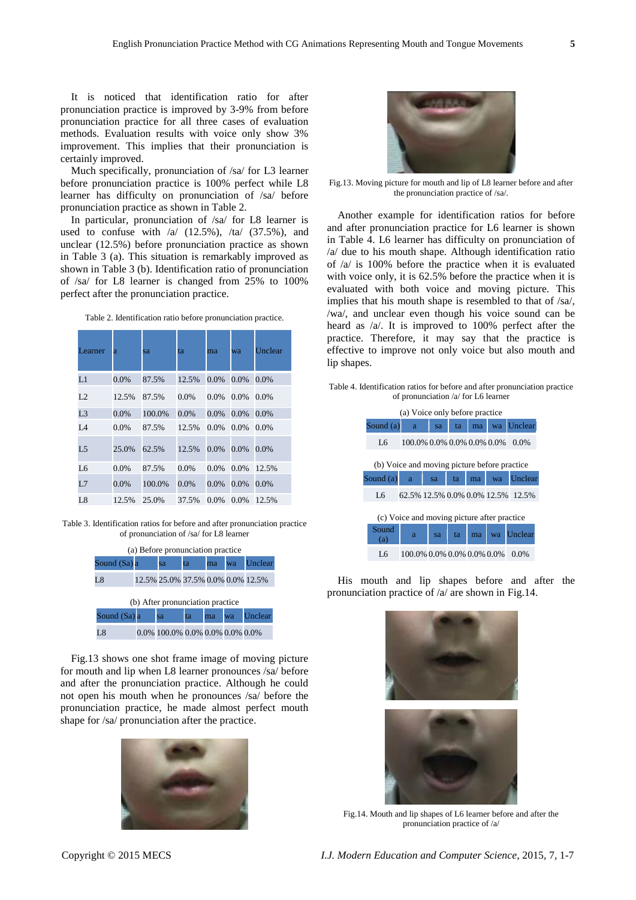It is noticed that identification ratio for after pronunciation practice is improved by 3-9% from before pronunciation practice for all three cases of evaluation methods. Evaluation results with voice only show 3% improvement. This implies that their pronunciation is certainly improved.

Much specifically, pronunciation of /sa/ for L3 learner before pronunciation practice is 100% perfect while L8 learner has difficulty on pronunciation of /sa/ before pronunciation practice as shown in Table 2.

In particular, pronunciation of /sa/ for L8 learner is used to confuse with  $a/(12.5\%)$ ,  $\pi a/(37.5\%)$ , and unclear (12.5%) before pronunciation practice as shown in Table 3 (a). This situation is remarkably improved as shown in Table 3 (b). Identification ratio of pronunciation of /sa/ for L8 learner is changed from 25% to 100% perfect after the pronunciation practice.

Table 2. Identification ratio before pronunciation practice.

| Learner        | a       | sa     | ta    | ma      | wa      | Unclear |
|----------------|---------|--------|-------|---------|---------|---------|
| L1             | 0.0%    | 87.5%  | 12.5% | 0.0%    | 0.0%    | 0.0%    |
| L2             | 12.5%   | 87.5%  | 0.0%  | $0.0\%$ | $0.0\%$ | $0.0\%$ |
| L <sub>3</sub> | $0.0\%$ | 100.0% | 0.0%  | 0.0%    | 0.0%    | 0.0%    |
| LA             | $0.0\%$ | 87.5%  | 12.5% | $0.0\%$ | $0.0\%$ | $0.0\%$ |
| L5             | 25.0%   | 62.5%  | 12.5% | $0.0\%$ | 0.0%    | 0.0%    |
| L6             | $0.0\%$ | 87.5%  | 0.0%  | $0.0\%$ | 0.0%    | 12.5%   |
| L7             | $0.0\%$ | 100.0% | 0.0%  | $0.0\%$ | $0.0\%$ | 0.0%    |
| L8             | 12.5%   | 25.0%  | 37.5% | $0.0\%$ | $0.0\%$ | 12.5%   |

Table 3. Identification ratios for before and after pronunciation practice of pronunciation of /sa/ for L8 learner

| (a) Before pronunciation practice |  |                                   |    |    |    |         |  |  |
|-----------------------------------|--|-----------------------------------|----|----|----|---------|--|--|
| Sound (Sa) a                      |  | sa                                | ta | ma | wa | Unclear |  |  |
| L8                                |  | 12.5% 25.0% 37.5% 0.0% 0.0% 12.5% |    |    |    |         |  |  |
| (b) After pronunciation practice  |  |                                   |    |    |    |         |  |  |
| Sound (Sa) a                      |  | sa                                | ta | ma | wa | Unclear |  |  |
| Ι8                                |  | 0.0% 100.0% 0.0% 0.0% 0.0% 0.0%   |    |    |    |         |  |  |

Fig.13 shows one shot frame image of moving picture for mouth and lip when L8 learner pronounces /sa/ before and after the pronunciation practice. Although he could not open his mouth when he pronounces /sa/ before the pronunciation practice, he made almost perfect mouth shape for /sa/ pronunciation after the practice.





Fig.13. Moving picture for mouth and lip of L8 learner before and after the pronunciation practice of /sa/.

Another example for identification ratios for before and after pronunciation practice for L6 learner is shown in Table 4. L6 learner has difficulty on pronunciation of /a/ due to his mouth shape. Although identification ratio of /a/ is 100% before the practice when it is evaluated with voice only, it is 62.5% before the practice when it is evaluated with both voice and moving picture. This implies that his mouth shape is resembled to that of /sa/, /wa/, and unclear even though his voice sound can be heard as /a/. It is improved to 100% perfect after the practice. Therefore, it may say that the practice is effective to improve not only voice but also mouth and lip shapes.

Table 4. Identification ratios for before and after pronunciation practice of pronunciation /a/ for L6 learner

| (a) Voice only before practice               |                            |    |    |    |    |                                   |  |
|----------------------------------------------|----------------------------|----|----|----|----|-----------------------------------|--|
| Sound $(a)$                                  | a                          | sa | ta | ma |    | wa Unclear                        |  |
| Lб                                           | 100.0% 0.0% 0.0% 0.0% 0.0% |    |    |    |    | $0.0\%$                           |  |
| (b) Voice and moving picture before practice |                            |    |    |    |    |                                   |  |
| Sound $(a)$                                  | a                          | sa | ta | ma | wa | Unclear                           |  |
| Lб                                           |                            |    |    |    |    | 62.5% 12.5% 0.0% 0.0% 12.5% 12.5% |  |
| (c) Voice and moving picture after practice  |                            |    |    |    |    |                                   |  |
| Sound<br>(a)                                 | a                          | sa | ta | ma | wa | Unclear                           |  |
| Ι6                                           | 100.0% 0.0% 0.0% 0.0% 0.0% |    |    |    |    | $0.0\%$                           |  |

His mouth and lip shapes before and after the pronunciation practice of /a/ are shown in Fig.14.



Fig.14. Mouth and lip shapes of L6 learner before and after the pronunciation practice of /a/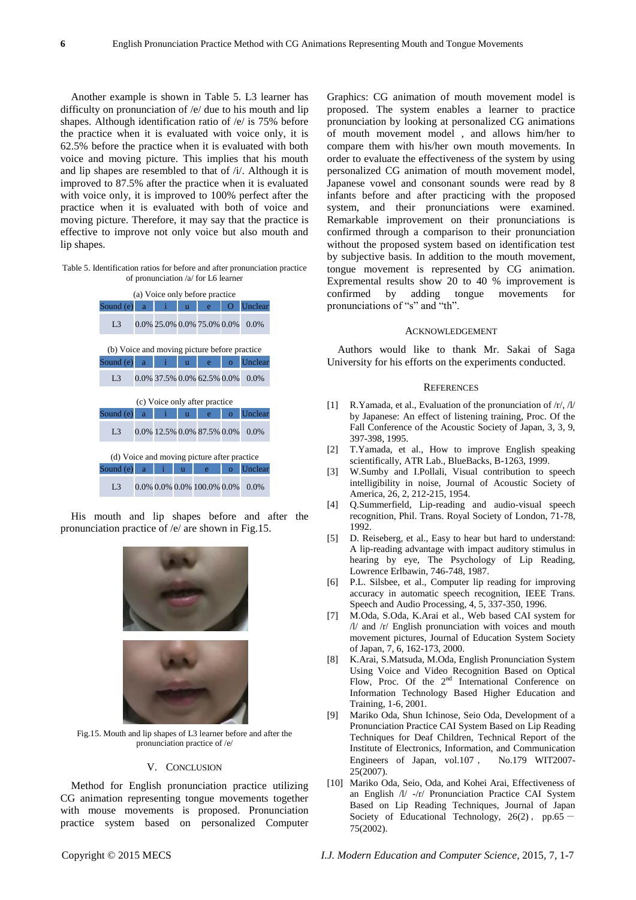Another example is shown in Table 5. L3 learner has difficulty on pronunciation of /e/ due to his mouth and lip shapes. Although identification ratio of /e/ is 75% before the practice when it is evaluated with voice only, it is 62.5% before the practice when it is evaluated with both voice and moving picture. This implies that his mouth and lip shapes are resembled to that of /i/. Although it is improved to 87.5% after the practice when it is evaluated with voice only, it is improved to 100% perfect after the practice when it is evaluated with both of voice and moving picture. Therefore, it may say that the practice is effective to improve not only voice but also mouth and lip shapes.

Table 5. Identification ratios for before and after pronunciation practice of pronunciation /a/ for L6 learner



His mouth and lip shapes before and after the pronunciation practice of /e/ are shown in Fig.15.



Fig.15. Mouth and lip shapes of L3 learner before and after the pronunciation practice of /e/

## V. CONCLUSION

Method for English pronunciation practice utilizing CG animation representing tongue movements together with mouse movements is proposed. Pronunciation practice system based on personalized Computer Graphics: CG animation of mouth movement model is proposed. The system enables a learner to practice pronunciation by looking at personalized CG animations of mouth movement model , and allows him/her to compare them with his/her own mouth movements. In order to evaluate the effectiveness of the system by using personalized CG animation of mouth movement model, Japanese vowel and consonant sounds were read by 8 infants before and after practicing with the proposed system, and their pronunciations were examined. Remarkable improvement on their pronunciations is confirmed through a comparison to their pronunciation without the proposed system based on identification test by subjective basis. In addition to the mouth movement, tongue movement is represented by CG animation. Expremental results show 20 to 40 % improvement is confirmed by adding tongue movements for pronunciations of "s" and "th".

## ACKNOWLEDGEMENT

Authors would like to thank Mr. Sakai of Saga University for his efforts on the experiments conducted.

## **REFERENCES**

- [1] R.Yamada, et al., Evaluation of the pronunciation of /r/, /l/ by Japanese: An effect of listening training, Proc. Of the Fall Conference of the Acoustic Society of Japan, 3, 3, 9, 397-398, 1995.
- [2] T.Yamada, et al., How to improve English speaking scientifically, ATR Lab., BlueBacks, B-1263, 1999.
- [3] W.Sumby and I.Pollali, Visual contribution to speech intelligibility in noise, Journal of Acoustic Society of America, 26, 2, 212-215, 1954.
- [4] Q.Summerfield, Lip-reading and audio-visual speech recognition, Phil. Trans. Royal Society of London, 71-78, 1992.
- [5] D. Reiseberg, et al., Easy to hear but hard to understand: A lip-reading advantage with impact auditory stimulus in hearing by eye, The Psychology of Lip Reading, Lowrence Erlbawin, 746-748, 1987.
- [6] P.L. Silsbee, et al., Computer lip reading for improving accuracy in automatic speech recognition, IEEE Trans. Speech and Audio Processing, 4, 5, 337-350, 1996.
- [7] M.Oda, S.Oda, K.Arai et al., Web based CAI system for /l/ and /r/ English pronunciation with voices and mouth movement pictures, Journal of Education System Society of Japan, 7, 6, 162-173, 2000.
- [8] K.Arai, S.Matsuda, M.Oda, English Pronunciation System Using Voice and Video Recognition Based on Optical Flow, Proc. Of the  $2<sup>nd</sup>$  International Conference on Information Technology Based Higher Education and Training, 1-6, 2001.
- [9] Mariko Oda, Shun Ichinose, Seio Oda, Development of a Pronunciation Practice CAI System Based on Lip Reading Techniques for Deaf Children, Technical Report of the Institute of Electronics, Information, and Communication Engineers of Japan, vol.107 , No.179 WIT2007- 25(2007).
- [10] Mariko Oda, Seio, Oda, and Kohei Arai, Effectiveness of an English /l/ -/r/ Pronunciation Practice CAI System Based on Lip Reading Techniques, Journal of Japan Society of Educational Technology,  $26(2)$ , pp.65 -75(2002).